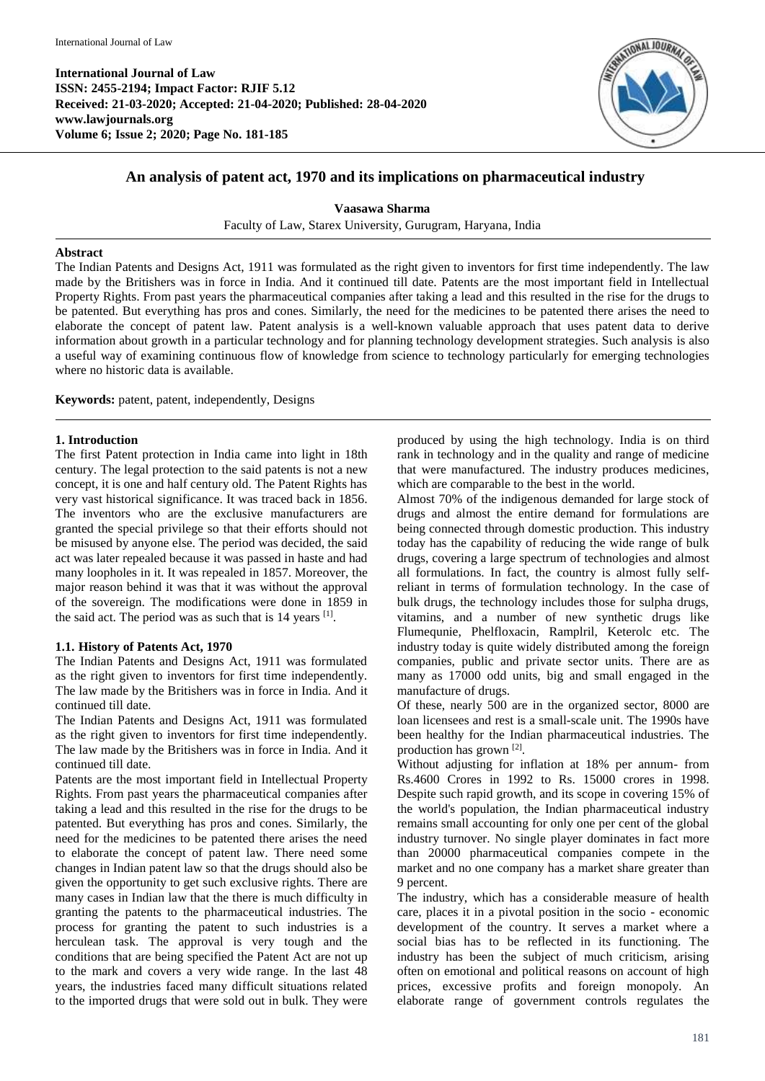

# **An analysis of patent act, 1970 and its implications on pharmaceutical industry**

**Vaasawa Sharma**

Faculty of Law, Starex University, Gurugram, Haryana, India

#### **Abstract**

The Indian Patents and Designs Act, 1911 was formulated as the right given to inventors for first time independently. The law made by the Britishers was in force in India. And it continued till date. Patents are the most important field in Intellectual Property Rights. From past years the pharmaceutical companies after taking a lead and this resulted in the rise for the drugs to be patented. But everything has pros and cones. Similarly, the need for the medicines to be patented there arises the need to elaborate the concept of patent law. Patent analysis is a well-known valuable approach that uses patent data to derive information about growth in a particular technology and for planning technology development strategies. Such analysis is also a useful way of examining continuous flow of knowledge from science to technology particularly for emerging technologies where no historic data is available.

**Keywords:** patent, patent, independently, Designs

#### **1. Introduction**

The first Patent protection in India came into light in 18th century. The legal protection to the said patents is not a new concept, it is one and half century old. The Patent Rights has very vast historical significance. It was traced back in 1856. The inventors who are the exclusive manufacturers are granted the special privilege so that their efforts should not be misused by anyone else. The period was decided, the said act was later repealed because it was passed in haste and had many loopholes in it. It was repealed in 1857. Moreover, the major reason behind it was that it was without the approval of the sovereign. The modifications were done in 1859 in the said act. The period was as such that is  $14$  years  $^{[1]}$ .

#### **1.1. History of Patents Act, 1970**

The Indian Patents and Designs Act, 1911 was formulated as the right given to inventors for first time independently. The law made by the Britishers was in force in India. And it continued till date.

The Indian Patents and Designs Act, 1911 was formulated as the right given to inventors for first time independently. The law made by the Britishers was in force in India. And it continued till date.

Patents are the most important field in Intellectual Property Rights. From past years the pharmaceutical companies after taking a lead and this resulted in the rise for the drugs to be patented. But everything has pros and cones. Similarly, the need for the medicines to be patented there arises the need to elaborate the concept of patent law. There need some changes in Indian patent law so that the drugs should also be given the opportunity to get such exclusive rights. There are many cases in Indian law that the there is much difficulty in granting the patents to the pharmaceutical industries. The process for granting the patent to such industries is a herculean task. The approval is very tough and the conditions that are being specified the Patent Act are not up to the mark and covers a very wide range. In the last 48 years, the industries faced many difficult situations related to the imported drugs that were sold out in bulk. They were produced by using the high technology. India is on third rank in technology and in the quality and range of medicine that were manufactured. The industry produces medicines, which are comparable to the best in the world.

Almost 70% of the indigenous demanded for large stock of drugs and almost the entire demand for formulations are being connected through domestic production. This industry today has the capability of reducing the wide range of bulk drugs, covering a large spectrum of technologies and almost all formulations. In fact, the country is almost fully selfreliant in terms of formulation technology. In the case of bulk drugs, the technology includes those for sulpha drugs, vitamins, and a number of new synthetic drugs like Flumequnie, Phelfloxacin, Ramplril, Keterolc etc. The industry today is quite widely distributed among the foreign companies, public and private sector units. There are as many as 17000 odd units, big and small engaged in the manufacture of drugs.

Of these, nearly 500 are in the organized sector, 8000 are loan licensees and rest is a small-scale unit. The 1990s have been healthy for the Indian pharmaceutical industries. The production has grown [2].

Without adjusting for inflation at 18% per annum- from Rs.4600 Crores in 1992 to Rs. 15000 crores in 1998. Despite such rapid growth, and its scope in covering 15% of the world's population, the Indian pharmaceutical industry remains small accounting for only one per cent of the global industry turnover. No single player dominates in fact more than 20000 pharmaceutical companies compete in the market and no one company has a market share greater than 9 percent.

The industry, which has a considerable measure of health care, places it in a pivotal position in the socio - economic development of the country. It serves a market where a social bias has to be reflected in its functioning. The industry has been the subject of much criticism, arising often on emotional and political reasons on account of high prices, excessive profits and foreign monopoly. An elaborate range of government controls regulates the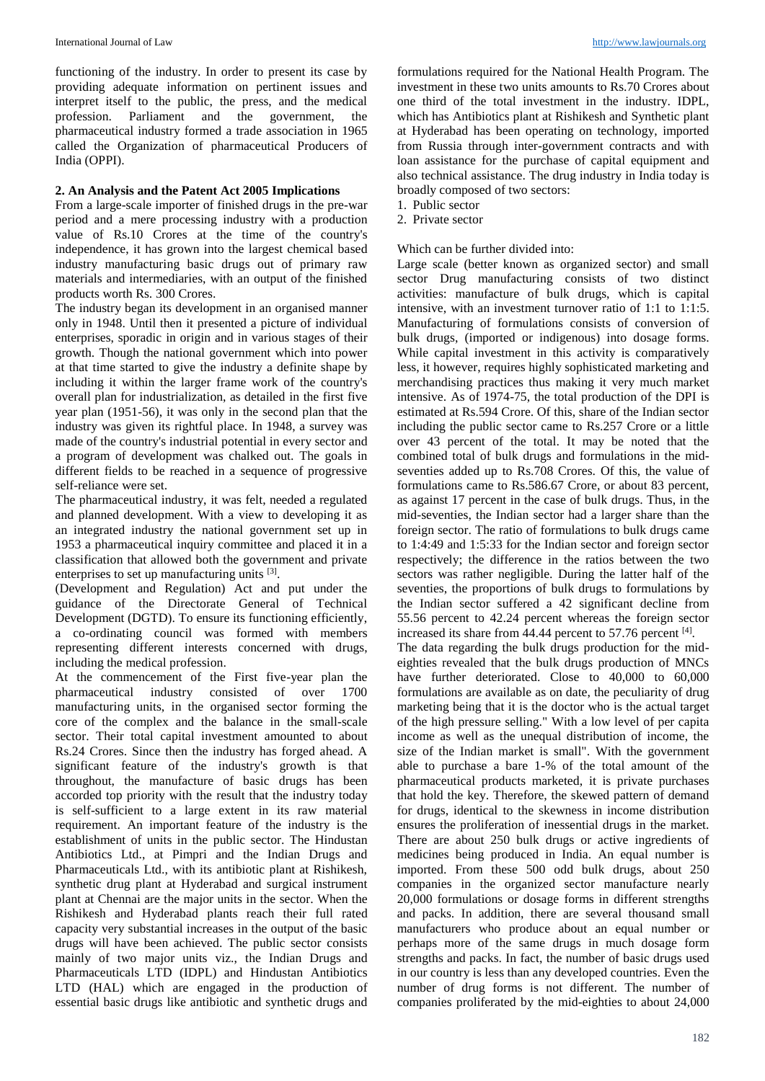functioning of the industry. In order to present its case by providing adequate information on pertinent issues and interpret itself to the public, the press, and the medical profession. Parliament and the government, the pharmaceutical industry formed a trade association in 1965 called the Organization of pharmaceutical Producers of India (OPPI).

### **2. An Analysis and the Patent Act 2005 Implications**

From a large-scale importer of finished drugs in the pre-war period and a mere processing industry with a production value of Rs.10 Crores at the time of the country's independence, it has grown into the largest chemical based industry manufacturing basic drugs out of primary raw materials and intermediaries, with an output of the finished products worth Rs. 300 Crores.

The industry began its development in an organised manner only in 1948. Until then it presented a picture of individual enterprises, sporadic in origin and in various stages of their growth. Though the national government which into power at that time started to give the industry a definite shape by including it within the larger frame work of the country's overall plan for industrialization, as detailed in the first five year plan (1951-56), it was only in the second plan that the industry was given its rightful place. In 1948, a survey was made of the country's industrial potential in every sector and a program of development was chalked out. The goals in different fields to be reached in a sequence of progressive self-reliance were set.

The pharmaceutical industry, it was felt, needed a regulated and planned development. With a view to developing it as an integrated industry the national government set up in 1953 a pharmaceutical inquiry committee and placed it in a classification that allowed both the government and private enterprises to set up manufacturing units [3].

(Development and Regulation) Act and put under the guidance of the Directorate General of Technical Development (DGTD). To ensure its functioning efficiently, a co-ordinating council was formed with members representing different interests concerned with drugs, including the medical profession.

At the commencement of the First five-year plan the pharmaceutical industry consisted of over 1700 manufacturing units, in the organised sector forming the core of the complex and the balance in the small-scale sector. Their total capital investment amounted to about Rs.24 Crores. Since then the industry has forged ahead. A significant feature of the industry's growth is that throughout, the manufacture of basic drugs has been accorded top priority with the result that the industry today is self-sufficient to a large extent in its raw material requirement. An important feature of the industry is the establishment of units in the public sector. The Hindustan Antibiotics Ltd., at Pimpri and the Indian Drugs and Pharmaceuticals Ltd., with its antibiotic plant at Rishikesh, synthetic drug plant at Hyderabad and surgical instrument plant at Chennai are the major units in the sector. When the Rishikesh and Hyderabad plants reach their full rated capacity very substantial increases in the output of the basic drugs will have been achieved. The public sector consists mainly of two major units viz., the Indian Drugs and Pharmaceuticals LTD (IDPL) and Hindustan Antibiotics LTD (HAL) which are engaged in the production of essential basic drugs like antibiotic and synthetic drugs and

formulations required for the National Health Program. The investment in these two units amounts to Rs.70 Crores about one third of the total investment in the industry. IDPL, which has Antibiotics plant at Rishikesh and Synthetic plant at Hyderabad has been operating on technology, imported from Russia through inter-government contracts and with loan assistance for the purchase of capital equipment and also technical assistance. The drug industry in India today is broadly composed of two sectors:

- 1. Public sector
- 2. Private sector

# Which can be further divided into:

Large scale (better known as organized sector) and small sector Drug manufacturing consists of two distinct activities: manufacture of bulk drugs, which is capital intensive, with an investment turnover ratio of 1:1 to 1:1:5. Manufacturing of formulations consists of conversion of bulk drugs, (imported or indigenous) into dosage forms. While capital investment in this activity is comparatively less, it however, requires highly sophisticated marketing and merchandising practices thus making it very much market intensive. As of 1974-75, the total production of the DPI is estimated at Rs.594 Crore. Of this, share of the Indian sector including the public sector came to Rs.257 Crore or a little over 43 percent of the total. It may be noted that the combined total of bulk drugs and formulations in the midseventies added up to Rs.708 Crores. Of this, the value of formulations came to Rs.586.67 Crore, or about 83 percent, as against 17 percent in the case of bulk drugs. Thus, in the mid-seventies, the Indian sector had a larger share than the foreign sector. The ratio of formulations to bulk drugs came to 1:4:49 and 1:5:33 for the Indian sector and foreign sector respectively; the difference in the ratios between the two sectors was rather negligible. During the latter half of the seventies, the proportions of bulk drugs to formulations by the Indian sector suffered a 42 significant decline from 55.56 percent to 42.24 percent whereas the foreign sector increased its share from 44.44 percent to 57.76 percent [4].

The data regarding the bulk drugs production for the mideighties revealed that the bulk drugs production of MNCs have further deteriorated. Close to 40,000 to 60,000 formulations are available as on date, the peculiarity of drug marketing being that it is the doctor who is the actual target of the high pressure selling." With a low level of per capita income as well as the unequal distribution of income, the size of the Indian market is small". With the government able to purchase a bare 1-% of the total amount of the pharmaceutical products marketed, it is private purchases that hold the key. Therefore, the skewed pattern of demand for drugs, identical to the skewness in income distribution ensures the proliferation of inessential drugs in the market. There are about 250 bulk drugs or active ingredients of medicines being produced in India. An equal number is imported. From these 500 odd bulk drugs, about 250 companies in the organized sector manufacture nearly 20,000 formulations or dosage forms in different strengths and packs. In addition, there are several thousand small manufacturers who produce about an equal number or perhaps more of the same drugs in much dosage form strengths and packs. In fact, the number of basic drugs used in our country is less than any developed countries. Even the number of drug forms is not different. The number of companies proliferated by the mid-eighties to about 24,000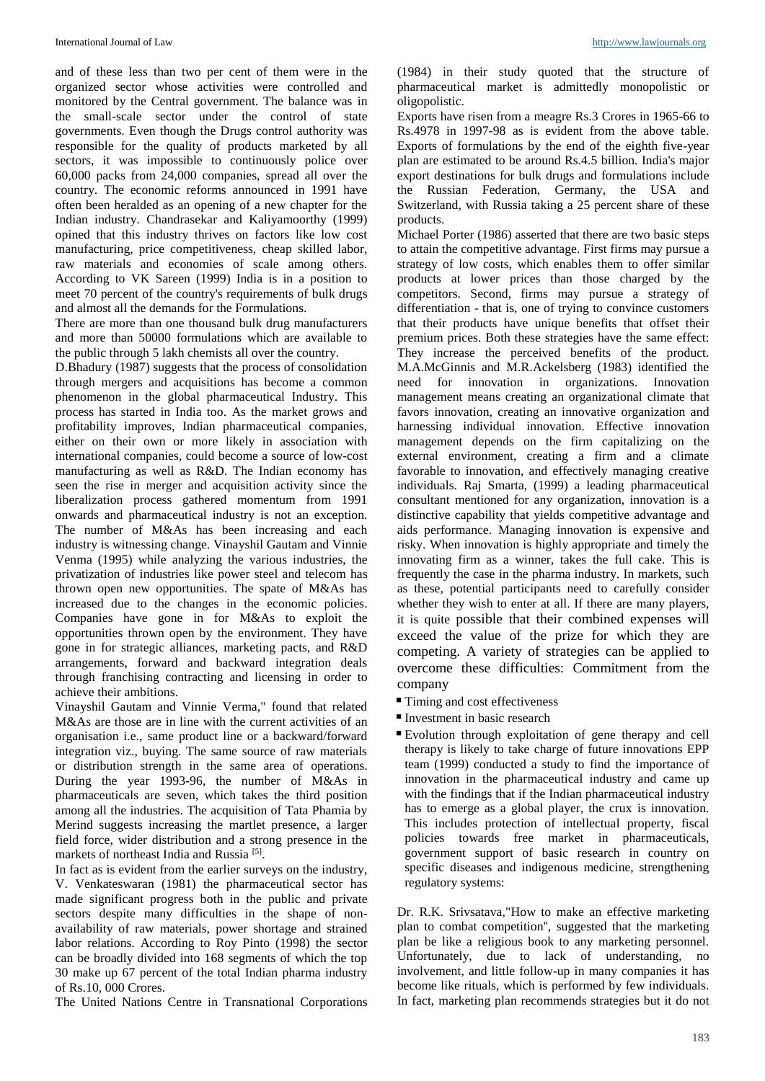and of these less than two per cent of them were in the organized sector whose activities were controlled and monitored by the Central government. The balance was in the small-scale sector under the control of state governments. Even though the Drugs control authority was responsible for the quality of products marketed by all sectors, it was impossible to continuously police over 60,000 packs from 24,000 companies, spread all over the country. The economic reforms announced in 1991 have often been heralded as an opening of a new chapter for the Indian industry. Chandrasekar and Kaliyamoorthy (1999) opined that this industry thrives on factors like low cost manufacturing, price competitiveness, cheap skilled labor, raw materials and economies of scale among others. According to VK Sareen (1999) India is in a position to meet 70 percent of the country's requirements of bulk drugs and almost all the demands for the Formulations.

There are more than one thousand bulk drug manufacturers and more than 50000 formulations which are available to the public through 5 lakh chemists all over the country.

D.Bhadury (1987) suggests that the process of consolidation through mergers and acquisitions has become a common phenomenon in the global pharmaceutical Industry. This process has started in India too. As the market grows and profitability improves, Indian pharmaceutical companies, either on their own or more likely in association with international companies, could become a source of low-cost manufacturing as well as R&D. The Indian economy has seen the rise in merger and acquisition activity since the liberalization process gathered momentum from 1991 onwards and pharmaceutical industry is not an exception. The number of M&As has been increasing and each industry is witnessing change. Vinayshil Gautam and Vinnie Venma (1995) while analyzing the various industries, the privatization of industries like power steel and telecom has thrown open new opportunities. The spate of M&As has increased due to the changes in the economic policies. Companies have gone in for M&As to exploit the opportunities thrown open by the environment. They have gone in for strategic alliances, marketing pacts, and R&D arrangements, forward and backward integration deals through franchising contracting and licensing in order to achieve their ambitions.

Vinayshil Gautam and Vinnie Verma," found that related M&As are those are in line with the current activities of an organisation i.e., same product line or a backward/forward integration viz., buying. The same source of raw materials or distribution strength in the same area of operations. During the year 1993-96, the number of M&As in pharmaceuticals are seven, which takes the third position among all the industries. The acquisition of Tata Phamia by Merind suggests increasing the martlet presence, a larger field force, wider distribution and a strong presence in the markets of northeast India and Russia<sup>[5]</sup>.

In fact as is evident from the earlier surveys on the industry, V. Venkateswaran (1981) the pharmaceutical sector has made significant progress both in the public and private sectors despite many difficulties in the shape of nonavailability of raw materials, power shortage and strained labor relations. According to Roy Pinto (1998) the sector can be broadly divided into 168 segments of which the top 30 make up 67 percent of the total Indian pharma industry of Rs.10, 000 Crores.

The United Nations Centre in Transnational Corporations

(1984) in their study quoted that the structure of pharmaceutical market is admittedly monopolistic or oligopolistic.

Exports have risen from a meagre Rs.3 Crores in 1965-66 to Rs.4978 in 1997-98 as is evident from the above table. Exports of formulations by the end of the eighth five-year plan are estimated to be around Rs.4.5 billion. India's major export destinations for bulk drugs and formulations include the Russian Federation, Germany, the USA and Switzerland, with Russia taking a 25 percent share of these products.

Michael Porter (1986) asserted that there are two basic steps to attain the competitive advantage. First firms may pursue a strategy of low costs, which enables them to offer similar products at lower prices than those charged by the competitors. Second, firms may pursue a strategy of differentiation - that is, one of trying to convince customers that their products have unique benefits that offset their premium prices. Both these strategies have the same effect: They increase the perceived benefits of the product. M.A.McGinnis and M.R.Ackelsberg (1983) identified the need for innovation in organizations. Innovation management means creating an organizational climate that favors innovation, creating an innovative organization and harnessing individual innovation. Effective innovation management depends on the firm capitalizing on the external environment, creating a firm and a climate favorable to innovation, and effectively managing creative individuals. Raj Smarta, (1999) a leading pharmaceutical consultant mentioned for any organization, innovation is a distinctive capability that yields competitive advantage and aids performance. Managing innovation is expensive and risky. When innovation is highly appropriate and timely the innovating firm as a winner, takes the full cake. This is frequently the case in the pharma industry. In markets, such as these, potential participants need to carefully consider whether they wish to enter at all. If there are many players, it is quite possible that their combined expenses will exceed the value of the prize for which they are competing. A variety of strategies can be applied to overcome these difficulties: Commitment from the company

- Timing and cost effectiveness
- $\blacksquare$  Investment in basic research
- Evolution through exploitation of gene therapy and cell therapy is likely to take charge of future innovations EPP team (1999) conducted a study to find the importance of innovation in the pharmaceutical industry and came up with the findings that if the Indian pharmaceutical industry has to emerge as a global player, the crux is innovation. This includes protection of intellectual property, fiscal policies towards free market in pharmaceuticals, government support of basic research in country on specific diseases and indigenous medicine, strengthening regulatory systems:

Dr. R.K. Srivsatava,"How to make an effective marketing plan to combat competition'', suggested that the marketing plan be like a religious book to any marketing personnel. Unfortunately, due to lack of understanding, no involvement, and little follow-up in many companies it has become like rituals, which is performed by few individuals. In fact, marketing plan recommends strategies but it do not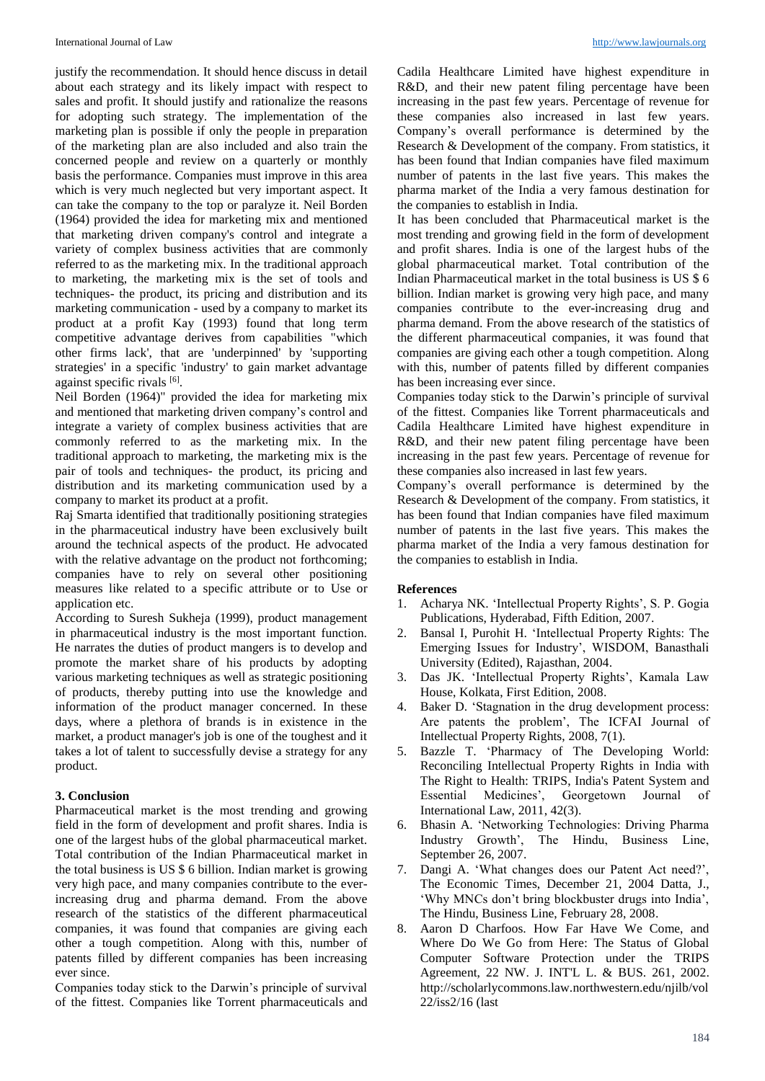justify the recommendation. It should hence discuss in detail about each strategy and its likely impact with respect to sales and profit. It should justify and rationalize the reasons for adopting such strategy. The implementation of the marketing plan is possible if only the people in preparation of the marketing plan are also included and also train the concerned people and review on a quarterly or monthly basis the performance. Companies must improve in this area which is very much neglected but very important aspect. It can take the company to the top or paralyze it. Neil Borden (1964) provided the idea for marketing mix and mentioned that marketing driven company's control and integrate a variety of complex business activities that are commonly referred to as the marketing mix. In the traditional approach to marketing, the marketing mix is the set of tools and techniques- the product, its pricing and distribution and its marketing communication - used by a company to market its product at a profit Kay (1993) found that long term competitive advantage derives from capabilities "which other firms lack', that are 'underpinned' by 'supporting strategies' in a specific 'industry' to gain market advantage against specific rivals [6].

Neil Borden (1964)" provided the idea for marketing mix and mentioned that marketing driven company's control and integrate a variety of complex business activities that are commonly referred to as the marketing mix. In the traditional approach to marketing, the marketing mix is the pair of tools and techniques- the product, its pricing and distribution and its marketing communication used by a company to market its product at a profit.

Raj Smarta identified that traditionally positioning strategies in the pharmaceutical industry have been exclusively built around the technical aspects of the product. He advocated with the relative advantage on the product not forthcoming; companies have to rely on several other positioning measures like related to a specific attribute or to Use or application etc.

According to Suresh Sukheja (1999), product management in pharmaceutical industry is the most important function. He narrates the duties of product mangers is to develop and promote the market share of his products by adopting various marketing techniques as well as strategic positioning of products, thereby putting into use the knowledge and information of the product manager concerned. In these days, where a plethora of brands is in existence in the market, a product manager's job is one of the toughest and it takes a lot of talent to successfully devise a strategy for any product.

# **3. Conclusion**

Pharmaceutical market is the most trending and growing field in the form of development and profit shares. India is one of the largest hubs of the global pharmaceutical market. Total contribution of the Indian Pharmaceutical market in the total business is US \$ 6 billion. Indian market is growing very high pace, and many companies contribute to the everincreasing drug and pharma demand. From the above research of the statistics of the different pharmaceutical companies, it was found that companies are giving each other a tough competition. Along with this, number of patents filled by different companies has been increasing ever since.

Companies today stick to the Darwin's principle of survival of the fittest. Companies like Torrent pharmaceuticals and Cadila Healthcare Limited have highest expenditure in R&D, and their new patent filing percentage have been increasing in the past few years. Percentage of revenue for these companies also increased in last few years. Company's overall performance is determined by the Research & Development of the company. From statistics, it has been found that Indian companies have filed maximum number of patents in the last five years. This makes the pharma market of the India a very famous destination for the companies to establish in India.

It has been concluded that Pharmaceutical market is the most trending and growing field in the form of development and profit shares. India is one of the largest hubs of the global pharmaceutical market. Total contribution of the Indian Pharmaceutical market in the total business is US \$ 6 billion. Indian market is growing very high pace, and many companies contribute to the ever-increasing drug and pharma demand. From the above research of the statistics of the different pharmaceutical companies, it was found that companies are giving each other a tough competition. Along with this, number of patents filled by different companies has been increasing ever since.

Companies today stick to the Darwin's principle of survival of the fittest. Companies like Torrent pharmaceuticals and Cadila Healthcare Limited have highest expenditure in R&D, and their new patent filing percentage have been increasing in the past few years. Percentage of revenue for these companies also increased in last few years.

Company's overall performance is determined by the Research & Development of the company. From statistics, it has been found that Indian companies have filed maximum number of patents in the last five years. This makes the pharma market of the India a very famous destination for the companies to establish in India.

# **References**

- 1. Acharya NK. 'Intellectual Property Rights', S. P. Gogia Publications, Hyderabad, Fifth Edition, 2007.
- 2. Bansal I, Purohit H. 'Intellectual Property Rights: The Emerging Issues for Industry', WISDOM, Banasthali University (Edited), Rajasthan, 2004.
- 3. Das JK. 'Intellectual Property Rights', Kamala Law House, Kolkata, First Edition, 2008.
- 4. Baker D. 'Stagnation in the drug development process: Are patents the problem', The ICFAI Journal of Intellectual Property Rights, 2008, 7(1).
- 5. Bazzle T. 'Pharmacy of The Developing World: Reconciling Intellectual Property Rights in India with The Right to Health: TRIPS, India's Patent System and Essential Medicines', Georgetown Journal of International Law, 2011, 42(3).
- 6. Bhasin A. 'Networking Technologies: Driving Pharma Industry Growth', The Hindu, Business Line, September 26, 2007.
- 7. Dangi A. 'What changes does our Patent Act need?', The Economic Times, December 21, 2004 Datta, J., 'Why MNCs don't bring blockbuster drugs into India', The Hindu, Business Line, February 28, 2008.
- 8. Aaron D Charfoos. How Far Have We Come, and Where Do We Go from Here: The Status of Global Computer Software Protection under the TRIPS Agreement, 22 NW. J. INT'L L. & BUS. 261, 2002. http://scholarlycommons.law.northwestern.edu/njilb/vol 22/iss2/16 (last